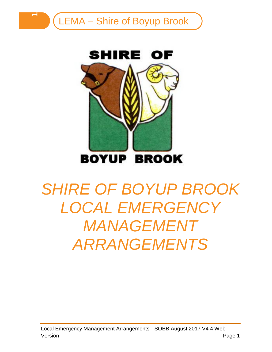**1**



# *SHIRE OF BOYUP BROOK LOCAL EMERGENCY*  **MANAGEMENT** *ARRANGEMENTS*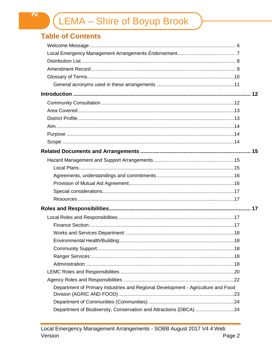# **Table of Contents**

| Department of Primary Industries and Regional Development - Agriculture and Food |  |
|----------------------------------------------------------------------------------|--|
|                                                                                  |  |
| Department of Biodiversity, Conservation and Attractions (DBCA) 24               |  |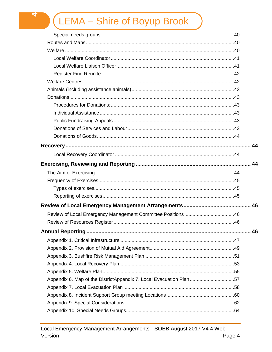| Appendix 6. Map of the DistrictAppendix 7. Local Evacuation Plan 57 |  |
|---------------------------------------------------------------------|--|
|                                                                     |  |
|                                                                     |  |
|                                                                     |  |
|                                                                     |  |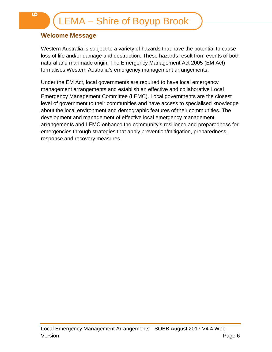## <span id="page-5-0"></span>**Welcome Message**

Western Australia is subject to a variety of hazards that have the potential to cause loss of life and/or damage and destruction. These hazards result from events of both natural and manmade origin. The Emergency Management Act 2005 (EM Act) formalises Western Australia's emergency management arrangements.

Under the EM Act, local governments are required to have local emergency management arrangements and establish an effective and collaborative Local Emergency Management Committee (LEMC). Local governments are the closest level of government to their communities and have access to specialised knowledge about the local environment and demographic features of their communities. The development and management of effective local emergency management arrangements and LEMC enhance the community's resilience and preparedness for emergencies through strategies that apply prevention/mitigation, preparedness, response and recovery measures.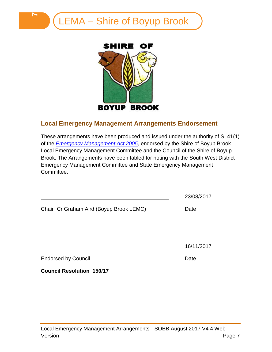



## <span id="page-6-0"></span>**Local Emergency Management Arrangements Endorsement**

These arrangements have been produced and issued under the authority of S. 41(1) of the *[Emergency Management Act 2005](http://www.slp.wa.gov.au/pco/prod/FileStore.nsf/Documents/MRDocument:27597P/$FILE/Emergency%20Management%20Act%202005%20-%20%5b00-g0-02%5d.pdf?OpenElement)*, endorsed by the Shire of Boyup Brook Local Emergency Management Committee and the Council of the Shire of Boyup Brook. The Arrangements have been tabled for noting with the South West District Emergency Management Committee and State Emergency Management Committee.

|                                         | 23/08/2017 |
|-----------------------------------------|------------|
| Chair Cr Graham Aird (Boyup Brook LEMC) | Date       |
|                                         |            |
|                                         | 16/11/2017 |
| <b>Endorsed by Council</b>              | Date       |
| <b>Council Resolution 150/17</b>        |            |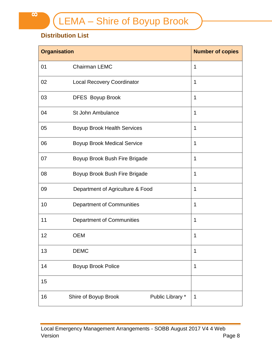# <span id="page-7-0"></span>**Distribution List**

| <b>Organisation</b> | <b>Number of copies</b>                  |   |  |
|---------------------|------------------------------------------|---|--|
| 01                  | <b>Chairman LEMC</b>                     | 1 |  |
| 02                  | <b>Local Recovery Coordinator</b>        | 1 |  |
| 03                  | <b>DFES Boyup Brook</b>                  | 1 |  |
| 04                  | St John Ambulance                        | 1 |  |
| 05                  | <b>Boyup Brook Health Services</b>       | 1 |  |
| 06                  | <b>Boyup Brook Medical Service</b>       | 1 |  |
| 07                  | Boyup Brook Bush Fire Brigade            | 1 |  |
| 08                  | Boyup Brook Bush Fire Brigade            | 1 |  |
| 09                  | Department of Agriculture & Food         | 1 |  |
| 10                  | <b>Department of Communities</b>         | 1 |  |
| 11                  | <b>Department of Communities</b>         | 1 |  |
| 12                  | <b>OEM</b>                               | 1 |  |
| 13                  | <b>DEMC</b>                              |   |  |
| 14                  | Boyup Brook Police                       |   |  |
| 15                  |                                          |   |  |
| 16                  | Public Library *<br>Shire of Boyup Brook | 1 |  |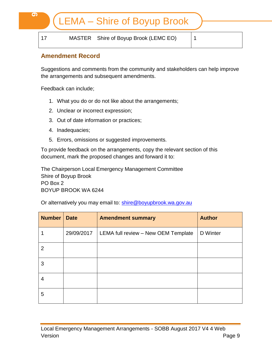17 MASTER Shire of Boyup Brook (LEMC EO) 1

## <span id="page-8-0"></span>**Amendment Record**

Suggestions and comments from the community and stakeholders can help improve the arrangements and subsequent amendments.

Feedback can include;

- 1. What you do or do not like about the arrangements;
- 2. Unclear or incorrect expression;
- 3. Out of date information or practices;
- 4. Inadequacies;
- 5. Errors, omissions or suggested improvements.

To provide feedback on the arrangements, copy the relevant section of this document, mark the proposed changes and forward it to:

The Chairperson Local Emergency Management Committee Shire of Boyup Brook PO Box 2 BOYUP BROOK WA 6244

Or alternatively you may email to: [shire@boyupbrook.wa.gov.au](mailto:shire@boyupbrook.wa.gov.au)

| <b>Number</b> | <b>Date</b> | <b>Amendment summary</b>            | <b>Author</b> |
|---------------|-------------|-------------------------------------|---------------|
|               | 29/09/2017  | LEMA full review - New OEM Template | D Winter      |
| 2             |             |                                     |               |
| 3             |             |                                     |               |
| 4             |             |                                     |               |
| 5             |             |                                     |               |

**9**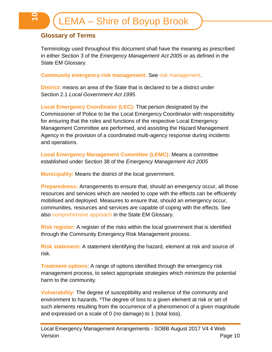## <span id="page-9-0"></span>**Glossary of Terms**

Terminology used throughout this document shall have the meaning as prescribed in either Section 3 of the *Emergency Management Act 2005* or as defined in the State EM Glossary.

**Community emergency risk management:** See risk management.

**District:** means an area of the State that is declared to be a district under Section 2.1 *Local Government Act 1995*.

**Local Emergency Coordinator (LEC):** That person designated by the Commissioner of Police to be the Local Emergency Coordinator with responsibility for ensuring that the roles and functions of the respective Local Emergency Management Committee are performed, and assisting the Hazard Management Agency in the provision of a coordinated multi-agency response during incidents and operations.

**Local Emergency Management Committee (LEMC):** Means a committee established under Section 38 of the *Emergency Management Act 2005*

**Municipality:** Means the district of the local government.

**Preparedness:** Arrangements to ensure that, should an emergency occur, all those resources and services which are needed to cope with the effects can be efficiently mobilised and deployed. Measures to ensure that, should an emergency occur, communities, resources and services are capable of coping with the effects. See also comprehensive approach in the State EM Glossary.

**Risk register:** A register of the risks within the local government that is identified through the Community Emergency Risk Management process.

**Risk statement:** A statement identifying the hazard, element at risk and source of risk.

**Treatment options**: A range of options identified through the emergency risk management process, to select appropriate strategies which minimize the potential harm to the community.

**Vulnerability:** The degree of susceptibility and resilience of the community and environment to hazards. \*The degree of loss to a given element at risk or set of such elements resulting from the occurrence of a phenomenon of a given magnitude and expressed on a scale of 0 (no damage) to 1 (total loss).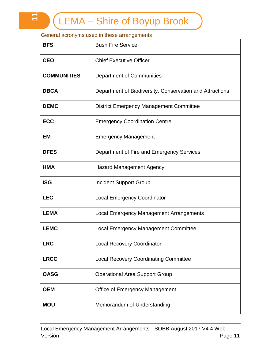#### <span id="page-10-0"></span>General acronyms used in these arrangements

**11**

| <b>BFS</b>         | <b>Bush Fire Service</b>                                 |
|--------------------|----------------------------------------------------------|
| <b>CEO</b>         | <b>Chief Executive Officer</b>                           |
| <b>COMMUNITIES</b> | Department of Communities                                |
| <b>DBCA</b>        | Department of Biodiversity, Conservation and Attractions |
| <b>DEMC</b>        | <b>District Emergency Management Committee</b>           |
| <b>ECC</b>         | <b>Emergency Coordination Centre</b>                     |
| <b>EM</b>          | <b>Emergency Management</b>                              |
| <b>DFES</b>        | Department of Fire and Emergency Services                |
| <b>HMA</b>         | <b>Hazard Management Agency</b>                          |
| <b>ISG</b>         | <b>Incident Support Group</b>                            |
| <b>LEC</b>         | <b>Local Emergency Coordinator</b>                       |
| <b>LEMA</b>        | <b>Local Emergency Management Arrangements</b>           |
| <b>LEMC</b>        | <b>Local Emergency Management Committee</b>              |
| <b>LRC</b>         | <b>Local Recovery Coordinator</b>                        |
| <b>LRCC</b>        | <b>Local Recovery Coordinating Committee</b>             |
| <b>OASG</b>        | <b>Operational Area Support Group</b>                    |
| <b>OEM</b>         | <b>Office of Emergency Management</b>                    |
| <b>MOU</b>         | Memorandum of Understanding                              |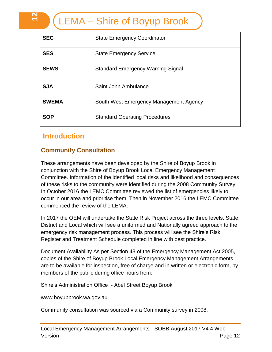| <b>SEC</b>   | <b>State Emergency Coordinator</b>       |
|--------------|------------------------------------------|
| <b>SES</b>   | <b>State Emergency Service</b>           |
| <b>SEWS</b>  | <b>Standard Emergency Warning Signal</b> |
| <b>SJA</b>   | Saint John Ambulance                     |
| <b>SWEMA</b> | South West Emergency Management Agency   |
| <b>SOP</b>   | <b>Standard Operating Procedures</b>     |

# <span id="page-11-0"></span>**Introduction**

**12**

## <span id="page-11-1"></span>**Community Consultation**

These arrangements have been developed by the Shire of Boyup Brook in conjunction with the Shire of Boyup Brook Local Emergency Management Committee. Information of the identified local risks and likelihood and consequences of these risks to the community were identified during the 2008 Community Survey. In October 2016 the LEMC Committee reviewed the list of emergencies likely to occur in our area and prioritise them. Then in November 2016 the LEMC Committee commenced the review of the LEMA.

In 2017 the OEM will undertake the State Risk Project across the three levels, State, District and Local which will see a uniformed and Nationally agreed approach to the emergency risk management process. This process will see the Shire's Risk Register and Treatment Schedule completed in line with best practice.

Document Availability As per Section 43 of the Emergency Management Act 2005, copies of the Shire of Boyup Brook Local Emergency Management Arrangements are to be available for inspection, free of charge and in written or electronic form, by members of the public during office hours from:

Shire's Administration Office - Abel Street Boyup Brook

www.boyupbrook.wa.gov.au

Community consultation was sourced via a Community survey in 2008.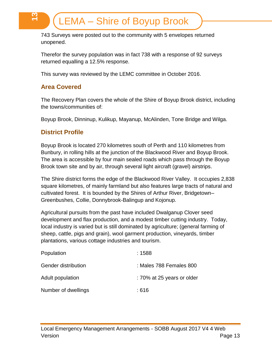743 Surveys were posted out to the community with 5 envelopes returned unopened.

Therefor the survey population was in fact 738 with a response of 92 surveys returned equalling a 12.5% response.

This survey was reviewed by the LEMC committee in October 2016.

## <span id="page-12-0"></span>**Area Covered**

<u>ო</u><br>—

The Recovery Plan covers the whole of the Shire of Boyup Brook district, including the towns/communities of:

Boyup Brook, Dinninup, Kulikup, Mayanup, McAlinden, Tone Bridge and Wilga.

## <span id="page-12-1"></span>**District Profile**

Boyup Brook is located 270 kilometres south of Perth and 110 kilometres from Bunbury, in rolling hills at the junction of the Blackwood River and Boyup Brook. The area is accessible by four main sealed roads which pass through the Boyup Brook town site and by air, through several light aircraft (gravel) airstrips.

The Shire district forms the edge of the Blackwood River Valley. It occupies 2,838 square kilometres, of mainly farmland but also features large tracts of natural and cultivated forest. It is bounded by the Shires of Arthur River, Bridgetown– Greenbushes, Collie, Donnybrook-Balingup and Kojonup.

Agricultural pursuits from the past have included Dwalganup Clover seed development and flax production, and a modest timber cutting industry. Today, local industry is varied but is still dominated by agriculture; (general farming of sheep, cattle, pigs and grain), wool garment production, vineyards, timber plantations, various cottage industries and tourism.

| Population          | :1588                      |
|---------------------|----------------------------|
| Gender distribution | : Males 788 Females 800    |
| Adult population    | : 70% at 25 years or older |
| Number of dwellings | : 616                      |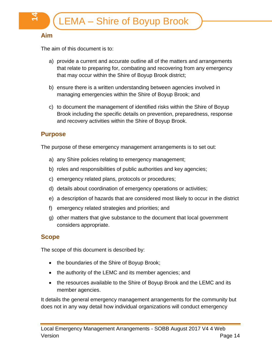## <span id="page-13-0"></span>**Aim**

The aim of this document is to:

- a) provide a current and accurate outline all of the matters and arrangements that relate to preparing for, combating and recovering from any emergency that may occur within the Shire of Boyup Brook district;
- b) ensure there is a written understanding between agencies involved in managing emergencies within the Shire of Boyup Brook; and
- c) to document the management of identified risks within the Shire of Boyup Brook including the specific details on prevention, preparedness, response and recovery activities within the Shire of Boyup Brook.

## <span id="page-13-1"></span>**Purpose**

The purpose of these emergency management arrangements is to set out:

- a) any Shire policies relating to emergency management;
- b) roles and responsibilities of public authorities and key agencies;
- c) emergency related plans, protocols or procedures;
- d) details about coordination of emergency operations or activities;
- e) a description of hazards that are considered most likely to occur in the district
- f) emergency related strategies and priorities; and
- g) other matters that give substance to the document that local government considers appropriate.

## <span id="page-13-2"></span>**Scope**

The scope of this document is described by:

- the boundaries of the Shire of Boyup Brook;
- the authority of the LEMC and its member agencies; and
- the resources available to the Shire of Boyup Brook and the LEMC and its member agencies.

It details the general emergency management arrangements for the community but does not in any way detail how individual organizations will conduct emergency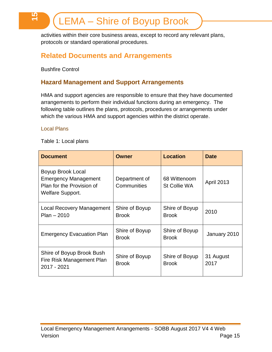activities within their core business areas, except to record any relevant plans, protocols or standard operational procedures.

# <span id="page-14-0"></span>**Related Documents and Arrangements**

Bushfire Control

**15**

## <span id="page-14-1"></span>**Hazard Management and Support Arrangements**

HMA and support agencies are responsible to ensure that they have documented arrangements to perform their individual functions during an emergency. The following table outlines the plans, protocols, procedures or arrangements under which the various HMA and support agencies within the district operate.

#### <span id="page-14-2"></span>Local Plans

Table 1: Local plans

| <b>Document</b>                                                                                   | Owner                          | <b>Location</b>                     | <b>Date</b>       |
|---------------------------------------------------------------------------------------------------|--------------------------------|-------------------------------------|-------------------|
| Boyup Brook Local<br><b>Emergency Management</b><br>Plan for the Provision of<br>Welfare Support. | Department of<br>Communities   | 68 Wittenoom<br><b>St Collie WA</b> | <b>April 2013</b> |
| Local Recovery Management<br>$Plan - 2010$                                                        | Shire of Boyup<br><b>Brook</b> | Shire of Boyup<br><b>Brook</b>      | 2010              |
| <b>Emergency Evacuation Plan</b>                                                                  | Shire of Boyup<br><b>Brook</b> | Shire of Boyup<br><b>Brook</b>      | January 2010      |
| Shire of Boyup Brook Bush<br>Fire Risk Management Plan<br>2017 - 2021                             | Shire of Boyup<br><b>Brook</b> | Shire of Boyup<br><b>Brook</b>      | 31 August<br>2017 |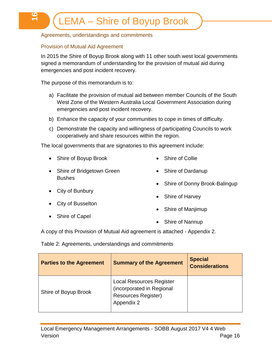#### <span id="page-15-0"></span>Agreements, understandings and commitments

#### <span id="page-15-1"></span>Provision of Mutual Aid Agreement

(C)<br>T

In 2015 the Shire of Boyup Brook along with 11 other south west local governments signed a memorandum of understanding for the provision of mutual aid during emergencies and post incident recovery.

The purpose of this memorandum is to:

- a) Facilitate the provision of mutual aid between member Councils of the South West Zone of the Western Australia Local Government Association during emergencies and post incident recovery.
- b) Enhance the capacity of your communities to cope in times of difficulty.
- c) Demonstrate the capacity and willingness of participating Councils to work cooperatively and share resources within the region.

The local governments that are signatories to this agreement include:

• Shire of Boyup Brook

- Shire of Collie
- Shire of Bridgetown Green **Bushes**
- Shire of Donny Brook-Balingup

• Shire of Dardanup

- City of Bunbury
- City of Busselton
- Shire of Capel

Shire of Manjimup

• Shire of Harvey

• Shire of Nannup

A copy of this Provision of Mutual Aid agreement is attached - Appendix 2.

Table 2: Agreements, understandings and commitments

| <b>Parties to the Agreement</b> | <b>Summary of the Agreement</b>                                                                          | <b>Special</b><br><b>Considerations</b> |
|---------------------------------|----------------------------------------------------------------------------------------------------------|-----------------------------------------|
| Shire of Boyup Brook            | <b>Local Resources Register</b><br>(incorporated in Regional<br><b>Resources Register)</b><br>Appendix 2 |                                         |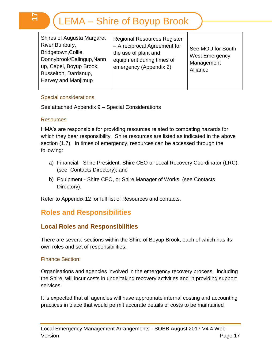| <b>Shires of Augusta Margaret</b><br>River, Bunbury,<br>Bridgetown, Collie,<br>Donnybrook/Balingup, Nann<br>up, Capel, Boyup Brook,<br>Busselton, Dardanup,<br>Harvey and Manjimup | <b>Regional Resources Register</b><br>- A reciprocal Agreement for<br>the use of plant and<br>equipment during times of<br>emergency (Appendix 2) | See MOU for South<br><b>West Emergency</b><br>Management<br>Alliance |
|------------------------------------------------------------------------------------------------------------------------------------------------------------------------------------|---------------------------------------------------------------------------------------------------------------------------------------------------|----------------------------------------------------------------------|
|------------------------------------------------------------------------------------------------------------------------------------------------------------------------------------|---------------------------------------------------------------------------------------------------------------------------------------------------|----------------------------------------------------------------------|

#### <span id="page-16-0"></span>Special considerations

See attached Appendix 9 – Special Considerations

#### <span id="page-16-1"></span>**Resources**

**17**

HMA's are responsible for providing resources related to combating hazards for which they bear responsibility. Shire resources are listed as indicated in the above section (1.7). In times of emergency, resources can be accessed through the following:

- a) Financial Shire President, Shire CEO or Local Recovery Coordinator (LRC), (see Contacts Directory); and
- b) Equipment Shire CEO, or Shire Manager of Works (see Contacts Directory).

Refer to Appendix 12 for full list of Resources and contacts.

## <span id="page-16-2"></span>**Roles and Responsibilities**

## <span id="page-16-3"></span>**Local Roles and Responsibilities**

There are several sections within the Shire of Boyup Brook, each of which has its own roles and set of responsibilities.

#### <span id="page-16-4"></span>Finance Section:

Organisations and agencies involved in the emergency recovery process, including the Shire, will incur costs in undertaking recovery activities and in providing support services.

It is expected that all agencies will have appropriate internal costing and accounting practices in place that would permit accurate details of costs to be maintained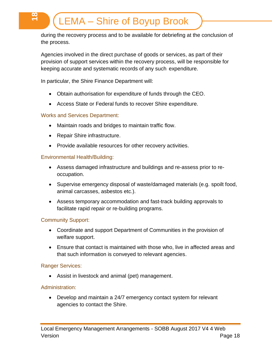during the recovery process and to be available for debriefing at the conclusion of the process.

Agencies involved in the direct purchase of goods or services, as part of their provision of support services within the recovery process, will be responsible for keeping accurate and systematic records of any such expenditure.

In particular, the Shire Finance Department will:

- Obtain authorisation for expenditure of funds through the CEO.
- Access State or Federal funds to recover Shire expenditure.

## <span id="page-17-0"></span>Works and Services Department:

|<br><del>17</del>

- Maintain roads and bridges to maintain traffic flow.
- Repair Shire infrastructure.
- Provide available resources for other recovery activities.

#### <span id="page-17-1"></span>Environmental Health/Building:

- Assess damaged infrastructure and buildings and re-assess prior to reoccupation.
- Supervise emergency disposal of waste/damaged materials (e.g. spoilt food, animal carcasses, asbestos etc.).
- Assess temporary accommodation and fast-track building approvals to facilitate rapid repair or re-building programs.

## <span id="page-17-2"></span>Community Support:

- Coordinate and support Department of Communities in the provision of welfare support.
- Ensure that contact is maintained with those who, live in affected areas and that such information is conveyed to relevant agencies.

## <span id="page-17-3"></span>Ranger Services:

Assist in livestock and animal (pet) management.

## <span id="page-17-4"></span>Administration:

 Develop and maintain a 24/7 emergency contact system for relevant agencies to contact the Shire.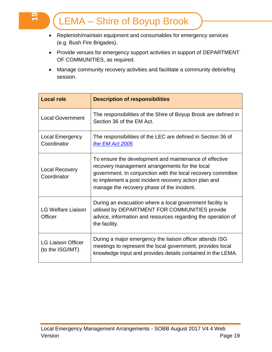- Replenish/maintain equipment and consumables for emergency services (e.g. Bush Fire Brigades).
- Provide venues for emergency support activities in support of DEPARTMENT OF COMMUNITIES, as required.
- Manage community recovery activities and facilitate a community debriefing session.

| <b>Local role</b>                             | <b>Description of responsibilities</b>                                                                                                                                                                                                                                          |
|-----------------------------------------------|---------------------------------------------------------------------------------------------------------------------------------------------------------------------------------------------------------------------------------------------------------------------------------|
| <b>Local Government</b>                       | The responsibilities of the Shire of Boyup Brook are defined in<br>Section 36 of the EM Act.                                                                                                                                                                                    |
| <b>Local Emergency</b><br>Coordinator         | The responsibilities of the LEC are defined in Section 36 of<br>the EM Act 2005                                                                                                                                                                                                 |
| <b>Local Recovery</b><br>Coordinator          | To ensure the development and maintenance of effective<br>recovery management arrangements for the local<br>government. In conjunction with the local recovery committee<br>to implement a post incident recovery action plan and<br>manage the recovery phase of the incident. |
| <b>LG Welfare Liaison</b><br>Officer          | During an evacuation where a local government facility is<br>utilised by DEPARTMENT FOR COMMUNITIES provide<br>advice, information and resources regarding the operation of<br>the facility.                                                                                    |
| <b>LG Liaison Officer</b><br>(to the ISG/IMT) | During a major emergency the liaison officer attends ISG<br>meetings to represent the local government, provides local<br>knowledge input and provides details contained in the LEMA.                                                                                           |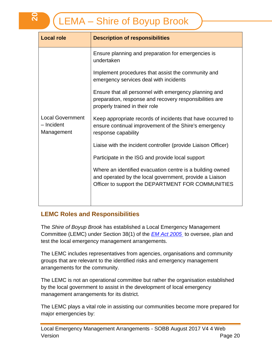| <b>Local role</b>                                   | <b>Description of responsibilities</b>                                                                                                                                    |  |  |  |  |
|-----------------------------------------------------|---------------------------------------------------------------------------------------------------------------------------------------------------------------------------|--|--|--|--|
|                                                     | Ensure planning and preparation for emergencies is<br>undertaken                                                                                                          |  |  |  |  |
|                                                     | Implement procedures that assist the community and<br>emergency services deal with incidents                                                                              |  |  |  |  |
|                                                     | Ensure that all personnel with emergency planning and<br>preparation, response and recovery responsibilities are<br>properly trained in their role                        |  |  |  |  |
| <b>Local Government</b><br>- Incident<br>Management | Keep appropriate records of incidents that have occurred to<br>ensure continual improvement of the Shire's emergency<br>response capability                               |  |  |  |  |
|                                                     | Liaise with the incident controller (provide Liaison Officer)                                                                                                             |  |  |  |  |
|                                                     | Participate in the ISG and provide local support                                                                                                                          |  |  |  |  |
|                                                     | Where an identified evacuation centre is a building owned<br>and operated by the local government, provide a Liaison<br>Officer to support the DEPARTMENT FOR COMMUNITIES |  |  |  |  |
|                                                     |                                                                                                                                                                           |  |  |  |  |

## <span id="page-19-0"></span>**LEMC Roles and Responsibilities**

The *Shire of Boyup Brook* has established a Local Emergency Management Committee (LEMC) under Section 38(1) of the *[EM Act](http://www.slp.wa.gov.au/pco/prod/FileStore.nsf/Documents/MRDocument:27597P/$FILE/Emergency%20Management%20Act%202005%20-%20%5b00-g0-02%5d.pdf?OpenElement) 2005* to oversee, plan and test the local emergency management arrangements.

The LEMC includes representatives from agencies, organisations and community groups that are relevant to the identified risks and emergency management arrangements for the community.

The LEMC is not an operational committee but rather the organisation established by the local government to assist in the development of local emergency management arrangements for its district.

The LEMC plays a vital role in assisting our communities become more prepared for major emergencies by:

**20**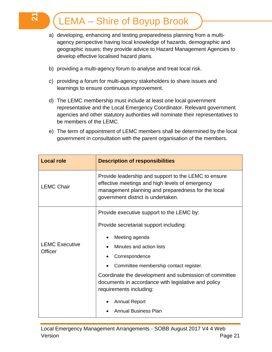<u>त्प</u>

- a) developing, enhancing and testing preparedness planning from a multiagency perspective having local knowledge of hazards, demographic and geographic issues; they provide advice to Hazard Management Agencies to develop effective localised hazard plans.
- b) providing a multi-agency forum to analyse and treat local risk.
- c) providing a forum for multi-agency stakeholders to share issues and learnings to ensure continuous improvement.
- d) The LEMC membership must include at least one local government representative and the Local Emergency Coordinator. Relevant government agencies and other statutory authorities will nominate their representatives to be members of the LEMC.
- e) The term of appointment of LEMC members shall be determined by the local government in consultation with the parent organisation of the members.

| <b>Local role</b>                | <b>Description of responsibilities</b>                                                                                                                                                              |  |  |  |
|----------------------------------|-----------------------------------------------------------------------------------------------------------------------------------------------------------------------------------------------------|--|--|--|
| <b>LEMC Chair</b>                | Provide leadership and support to the LEMC to ensure<br>effective meetings and high levels of emergency<br>management planning and preparedness for the local<br>government district is undertaken. |  |  |  |
|                                  | Provide executive support to the LEMC by:                                                                                                                                                           |  |  |  |
|                                  | Provide secretariat support including:                                                                                                                                                              |  |  |  |
|                                  | Meeting agenda                                                                                                                                                                                      |  |  |  |
| <b>LEMC Executive</b><br>Officer | Minutes and action lists                                                                                                                                                                            |  |  |  |
|                                  | Correspondence                                                                                                                                                                                      |  |  |  |
|                                  | Committee membership contact register.                                                                                                                                                              |  |  |  |
|                                  | Coordinate the development and submission of committee<br>documents in accordance with legislative and policy<br>requirements including:                                                            |  |  |  |
|                                  | <b>Annual Report</b>                                                                                                                                                                                |  |  |  |
|                                  | <b>Annual Business Plan</b>                                                                                                                                                                         |  |  |  |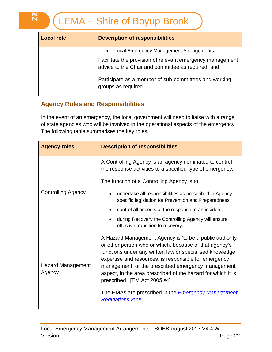| <b>Local role</b> | <b>Description of responsibilities</b>                                                                          |
|-------------------|-----------------------------------------------------------------------------------------------------------------|
|                   | • Local Emergency Management Arrangements.                                                                      |
|                   | Facilitate the provision of relevant emergency management<br>advice to the Chair and committee as required; and |
|                   | Participate as a member of sub-committees and working<br>groups as required.                                    |

## <span id="page-21-0"></span>**Agency Roles and Responsibilities**

In the event of an emergency, the local government will need to liaise with a range of state agencies who will be involved in the operational aspects of the emergency. The following table summarises the key roles.

| <b>Agency roles</b>                | <b>Description of responsibilities</b>                                                                                                                                                                                                                                                                                                                                                                                                                       |  |  |  |
|------------------------------------|--------------------------------------------------------------------------------------------------------------------------------------------------------------------------------------------------------------------------------------------------------------------------------------------------------------------------------------------------------------------------------------------------------------------------------------------------------------|--|--|--|
|                                    | A Controlling Agency is an agency nominated to control<br>the response activities to a specified type of emergency.                                                                                                                                                                                                                                                                                                                                          |  |  |  |
|                                    | The function of a Controlling Agency is to:                                                                                                                                                                                                                                                                                                                                                                                                                  |  |  |  |
| <b>Controlling Agency</b>          | undertake all responsibilities as prescribed in Agency<br>specific legislation for Prevention and Preparedness.                                                                                                                                                                                                                                                                                                                                              |  |  |  |
|                                    | control all aspects of the response to an incident.                                                                                                                                                                                                                                                                                                                                                                                                          |  |  |  |
|                                    | during Recovery the Controlling Agency will ensure<br>effective transition to recovery.                                                                                                                                                                                                                                                                                                                                                                      |  |  |  |
| <b>Hazard Management</b><br>Agency | A Hazard Management Agency is 'to be a public authority<br>or other person who or which, because of that agency's<br>functions under any written law or specialised knowledge,<br>expertise and resources, is responsible for emergency<br>management, or the prescribed emergency management<br>aspect, in the area prescribed of the hazard for which it is<br>prescribed.' [EM Act 2005 s4]<br>The HMAs are prescribed in the <b>Emergency Management</b> |  |  |  |
|                                    | <b>Regulations 2006.</b>                                                                                                                                                                                                                                                                                                                                                                                                                                     |  |  |  |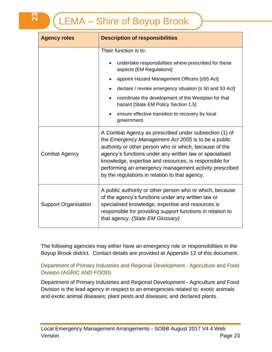| <b>Agency roles</b>         | <b>Description of responsibilities</b>                                                                                                                                                                                                                                                                                                                                                                  |  |  |  |
|-----------------------------|---------------------------------------------------------------------------------------------------------------------------------------------------------------------------------------------------------------------------------------------------------------------------------------------------------------------------------------------------------------------------------------------------------|--|--|--|
|                             | Their function is to:                                                                                                                                                                                                                                                                                                                                                                                   |  |  |  |
|                             | undertake responsibilities where prescribed for these<br>$\bullet$<br>aspects [EM Regulations]                                                                                                                                                                                                                                                                                                          |  |  |  |
|                             | appoint Hazard Management Officers [s55 Act]                                                                                                                                                                                                                                                                                                                                                            |  |  |  |
|                             | declare / revoke emergency situation [s 50 and 53 Act]                                                                                                                                                                                                                                                                                                                                                  |  |  |  |
|                             | coordinate the development of the Westplan for that<br>$\bullet$<br>hazard [State EM Policy Section 1.5]                                                                                                                                                                                                                                                                                                |  |  |  |
|                             | ensure effective transition to recovery by local<br>government.                                                                                                                                                                                                                                                                                                                                         |  |  |  |
| <b>Combat Agency</b>        | A Combat Agency as prescribed under subsection (1) of<br>the Emergency Management Act 2005 is to be a public<br>authority or other person who or which, because of the<br>agency's functions under any written law or specialised<br>knowledge, expertise and resources, is responsible for<br>performing an emergency management activity prescribed<br>by the regulations in relation to that agency. |  |  |  |
| <b>Support Organisation</b> | A public authority or other person who or which, because<br>of the agency's functions under any written law or<br>specialised knowledge, expertise and resources is<br>responsible for providing support functions in relation to<br>that agency. (State EM Glossary)                                                                                                                                   |  |  |  |

The following agencies may either have an emergency role or responsibilities in the Boyup Brook district. Contact details are provided at Appendix 12 of this document.

## <span id="page-22-0"></span>Department of Primary Industries and Regional Development - Agriculture and Food Division (AGRIC AND FOOD)

Department of Primary Industries and Regional Development - Agriculture and Food Division is the lead agency in respect to an emergencies related to: exotic animals and exotic animal diseases; plant pests and diseases; and declared plants.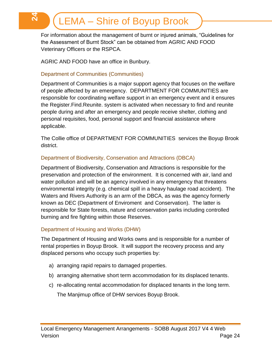For information about the management of burnt or injured animals, "Guidelines for the Assessment of Burnt Stock" can be obtained from AGRIC AND FOOD Veterinary Officers or the RSPCA.

AGRIC AND FOOD have an office in Bunbury.

#### <span id="page-23-0"></span>Department of Communities (Communities)

**24**

Department of Communities is a major support agency that focuses on the welfare of people affected by an emergency. DEPARTMENT FOR COMMUNITIES are responsible for coordinating welfare support in an emergency event and it ensures the Register.Find.Reunite. system is activated when necessary to find and reunite people during and after an emergency and people receive shelter, clothing and personal requisites, food, personal support and financial assistance where applicable.

The Collie office of DEPARTMENT FOR COMMUNITIES services the Boyup Brook district.

#### <span id="page-23-1"></span>Department of Biodiversity, Conservation and Attractions (DBCA)

Department of Biodiversity, Conservation and Attractions is responsible for the preservation and protection of the environment. It is concerned with air, land and water pollution and will be an agency involved in any emergency that threatens environmental integrity (e.g. chemical spill in a heavy haulage road accident). The Waters and Rivers Authority is an arm of the DBCA, as was the agency formerly known as DEC (Department of Enviroment and Conservation). The latter is responsible for State forests, nature and conservation parks including controlled burning and fire fighting within those Reserves.

#### <span id="page-23-2"></span>Department of Housing and Works (DHW)

The Department of Housing and Works owns and is responsible for a number of rental properties in Boyup Brook. It will support the recovery process and any displaced persons who occupy such properties by:

- a) arranging rapid repairs to damaged properties.
- b) arranging alternative short term accommodation for its displaced tenants.
- c) re-allocating rental accommodation for displaced tenants in the long term.

The Manjimup office of DHW services Boyup Brook.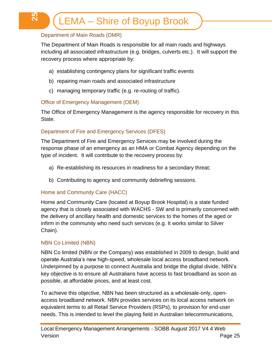## <span id="page-24-0"></span>Department of Main Roads (DMR)

**25**

The Department of Main Roads is responsible for all main roads and highways including all associated infrastructure (e.g. bridges, culverts etc.). It will support the recovery process where appropriate by:

- a) establishing contingency plans for significant traffic events
- b) repairing main roads and associated infrastructure
- c) managing temporary traffic (e.g. re-routing of traffic).

#### <span id="page-24-1"></span>Office of Emergency Management (OEM)

The Office of Emergency Management is the agency responsible for recovery in this State.

#### <span id="page-24-2"></span>Department of Fire and Emergency Services (DFES)

The Department of Fire and Emergency Services may be involved during the response phase of an emergency as an HMA or Combat Agency depending on the type of incident. It will contribute to the recovery process by:

- a) Re-establishing its resources in readiness for a secondary threat;
- b) Contributing to agency and community debriefing sessions.

#### <span id="page-24-3"></span>Home and Community Care (HACC)

Home and Community Care (located at Boyup Brook Hospital) is a state funded agency that is closely associated with WACHS - SW and is primarily concerned with the delivery of ancillary health and domestic services to the homes of the aged or infirm in the community who need such services (e.g. It works similar to Silver Chain).

#### <span id="page-24-4"></span>NBN Co Limited (NBN)

NBN Co limited (NBN or the Company) was established in 2009 to design, build and operate Australia's new high-speed, wholesale local access broadband network. Underpinned by a purpose to connect Australia and bridge the digital divide, NBN's key objective is to ensure all Australians have access to fast broadband as soon as possible, at affordable prices, and at least cost.

To achieve this objective, NBN has been structured as a wholesale-only, openaccess broadband network. NBN provides services on its local access network on equivalent terms to all Retail Service Providers (RSPs), to provision for end-user needs. This is intended to level the playing field in Australian telecommunications,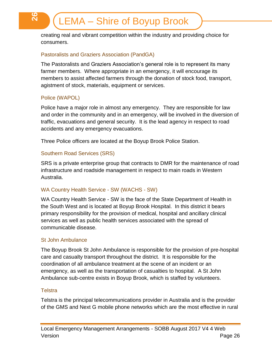creating real and vibrant competition within the industry and providing choice for consumers.

## <span id="page-25-0"></span>Pastoralists and Graziers Association (PandGA)

The Pastoralists and Graziers Association's general role is to represent its many farmer members. Where appropriate in an emergency, it will encourage its members to assist affected farmers through the donation of stock food, transport, agistment of stock, materials, equipment or services.

#### <span id="page-25-1"></span>Police (WAPOL)

**26**

Police have a major role in almost any emergency. They are responsible for law and order in the community and in an emergency, will be involved in the diversion of traffic, evacuations and general security. It is the lead agency in respect to road accidents and any emergency evacuations.

Three Police officers are located at the Boyup Brook Police Station.

#### <span id="page-25-2"></span>Southern Road Services (SRS)

SRS is a private enterprise group that contracts to DMR for the maintenance of road infrastructure and roadside management in respect to main roads in Western Australia.

#### <span id="page-25-3"></span>WA Country Health Service - SW (WACHS - SW)

WA Country Health Service - SW is the face of the State Department of Health in the South West and is located at Boyup Brook Hospital. In this district it bears primary responsibility for the provision of medical, hospital and ancillary clinical services as well as public health services associated with the spread of communicable disease.

#### <span id="page-25-4"></span>St John Ambulance

The Boyup Brook St John Ambulance is responsible for the provision of pre-hospital care and casualty transport throughout the district. It is responsible for the coordination of all ambulance treatment at the scene of an incident or an emergency, as well as the transportation of casualties to hospital. A St John Ambulance sub-centre exists in Boyup Brook, which is staffed by volunteers.

#### <span id="page-25-5"></span>**Telstra**

Telstra is the principal telecommunications provider in Australia and is the provider of the GMS and Next G mobile phone networks which are the most effective in rural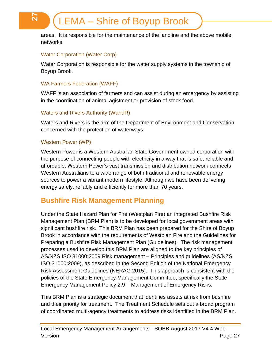areas. It is responsible for the maintenance of the landline and the above mobile networks.

## <span id="page-26-0"></span>Water Corporation (Water Corp)

**27**

Water Corporation is responsible for the water supply systems in the township of Boyup Brook.

## <span id="page-26-1"></span>WA Farmers Federation (WAFF)

WAFF is an association of farmers and can assist during an emergency by assisting in the coordination of animal agistment or provision of stock food.

## <span id="page-26-2"></span>Waters and Rivers Authority (WandR)

Waters and Rivers is the arm of the Department of Environment and Conservation concerned with the protection of waterways.

## <span id="page-26-3"></span>Western Power (WP)

Western Power is a Western Australian State Government owned corporation with the purpose of connecting people with electricity in a way that is safe, reliable and affordable. Western Power's vast transmission and distribution network connects Western Australians to a wide range of both traditional and renewable energy sources to power a vibrant modern lifestyle. Although we have been delivering energy safely, reliably and efficiently for more than 70 years.

## <span id="page-26-4"></span>**Bushfire Risk Management Planning**

Under the State Hazard Plan for Fire (Westplan Fire) an integrated Bushfire Risk Management Plan (BRM Plan) is to be developed for local government areas with significant bushfire risk. This BRM Plan has been prepared for the Shire of Boyup Brook in accordance with the requirements of Westplan Fire and the Guidelines for Preparing a Bushfire Risk Management Plan (Guidelines). The risk management processes used to develop this BRM Plan are aligned to the key principles of AS/NZS ISO 31000:2009 Risk management – Principles and guidelines (AS/NZS ISO 31000:2009), as described in the Second Edition of the National Emergency Risk Assessment Guidelines (NERAG 2015). This approach is consistent with the policies of the State Emergency Management Committee, specifically the State Emergency Management Policy 2.9 – Management of Emergency Risks.

This BRM Plan is a strategic document that identifies assets at risk from bushfire and their priority for treatment. The Treatment Schedule sets out a broad program of coordinated multi-agency treatments to address risks identified in the BRM Plan.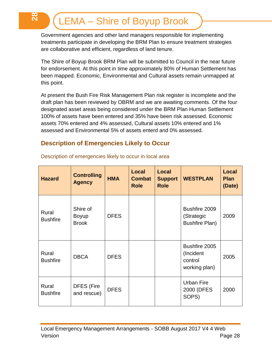**28**

Government agencies and other land managers responsible for implementing treatments participate in developing the BRM Plan to ensure treatment strategies are collaborative and efficient, regardless of land tenure.

The Shire of Boyup Brook BRM Plan will be submitted to Council in the near future for endorsement. At this point in time approximately 80% of Human Settlement has been mapped. Economic, Environmental and Cultural assets remain unmapped at this point.

At present the Bush Fire Risk Management Plan risk register is incomplete and the draft plan has been reviewed by OBRM and we are awaiting comments. Of the four designated asset areas being considered under the BRM Plan Human Settlement 100% of assets have been entered and 35% have been risk assessed. Economic assets 70% entered and 4% assessed, Cultural assets 10% entered and 1% assessed and Environmental 5% of assets enterd and 0% assessed.

## <span id="page-27-0"></span>**Description of Emergencies Likely to Occur**

| <b>Hazard</b>            | <b>Controlling</b><br><b>Agency</b>      | <b>HMA</b>  | Local<br><b>Combat</b><br><b>Role</b> | Local<br><b>Support</b><br><b>Role</b> | <b>WESTPLAN</b>                                        | Local<br><b>Plan</b><br>(Date) |
|--------------------------|------------------------------------------|-------------|---------------------------------------|----------------------------------------|--------------------------------------------------------|--------------------------------|
| Rural<br><b>Bushfire</b> | Shire of<br><b>Boyup</b><br><b>Brook</b> | <b>DFES</b> |                                       |                                        | Bushfire 2009<br>(Strategic<br><b>Bushfire Plan)</b>   | 2009                           |
| Rural<br><b>Bushfire</b> | <b>DBCA</b>                              | <b>DFES</b> |                                       |                                        | Bushfire 2005<br>(Incident<br>control<br>working plan) | 2005                           |
| Rural<br><b>Bushfire</b> | <b>DFES (Fire</b><br>and rescue)         | <b>DFES</b> |                                       |                                        | Urban Fire<br>2000 (DFES<br>SOPS)                      | 2000                           |

Description of emergencies likely to occur in local area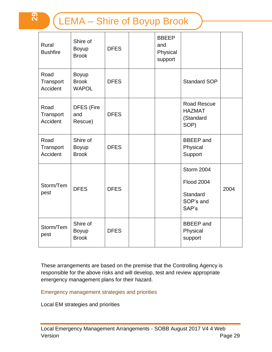**29**

| Rural<br><b>Bushfire</b>      | Shire of<br>Boyup<br><b>Brook</b>        | <b>DFES</b> | <b>BBEEP</b><br>and<br>Physical<br>support |                                                                   |      |
|-------------------------------|------------------------------------------|-------------|--------------------------------------------|-------------------------------------------------------------------|------|
| Road<br>Transport<br>Accident | Boyup<br><b>Brook</b><br><b>WAPOL</b>    | <b>DFES</b> |                                            | <b>Standard SOP</b>                                               |      |
| Road<br>Transport<br>Accident | <b>DFES (Fire</b><br>and<br>Rescue)      | <b>DFES</b> |                                            | <b>Road Rescue</b><br><b>HAZMAT</b><br>(Standard<br>SOP)          |      |
| Road<br>Transport<br>Accident | Shire of<br>Boyup<br><b>Brook</b>        | <b>DFES</b> |                                            | <b>BBEEP</b> and<br>Physical<br>Support                           |      |
| Storm/Tem<br>pest             | <b>DFES</b>                              | <b>DFES</b> |                                            | Storm 2004<br><b>Flood 2004</b><br>Standard<br>SOP's and<br>SAP's | 2004 |
| Storm/Tem<br>pest             | Shire of<br><b>Boyup</b><br><b>Brook</b> | <b>DFES</b> |                                            | <b>BBEEP</b> and<br>Physical<br>support                           |      |

These arrangements are based on the premise that the Controlling Agency is responsible for the above risks and will develop, test and review appropriate emergency management plans for their hazard.

<span id="page-28-0"></span>Emergency management strategies and priorities

Local EM strategies and priorities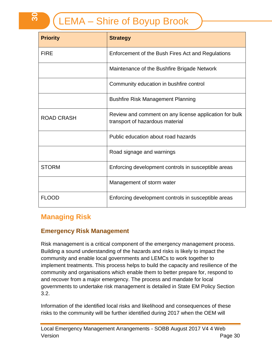| <b>Priority</b>   | <b>Strategy</b>                                                                           |
|-------------------|-------------------------------------------------------------------------------------------|
| <b>FIRE</b>       | Enforcement of the Bush Fires Act and Regulations                                         |
|                   | Maintenance of the Bushfire Brigade Network                                               |
|                   | Community education in bushfire control                                                   |
|                   | <b>Bushfire Risk Management Planning</b>                                                  |
| <b>ROAD CRASH</b> | Review and comment on any license application for bulk<br>transport of hazardous material |
|                   | Public education about road hazards                                                       |
|                   | Road signage and warnings                                                                 |
| <b>STORM</b>      | Enforcing development controls in susceptible areas                                       |
|                   | Management of storm water                                                                 |
| <b>FLOOD</b>      | Enforcing development controls in susceptible areas                                       |

# <span id="page-29-0"></span>**Managing Risk**

## <span id="page-29-1"></span>**Emergency Risk Management**

Risk management is a critical component of the emergency management process. Building a sound understanding of the hazards and risks is likely to impact the community and enable local governments and LEMCs to work together to implement treatments. This process helps to build the capacity and resilience of the community and organisations which enable them to better prepare for, respond to and recover from a major emergency. The process and mandate for local governments to undertake risk management is detailed in State EM Policy Section 3.2.

Information of the identified local risks and likelihood and consequences of these risks to the community will be further identified during 2017 when the OEM will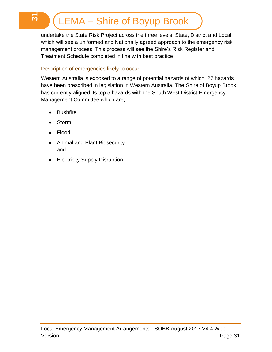undertake the State Risk Project across the three levels, State, District and Local which will see a uniformed and Nationally agreed approach to the emergency risk management process. This process will see the Shire's Risk Register and Treatment Schedule completed in line with best practice.

#### <span id="page-30-0"></span>Description of emergencies likely to occur

Western Australia is exposed to a range of potential hazards of which 27 hazards have been prescribed in legislation in Western Australia. The Shire of Boyup Brook has currently aligned its top 5 hazards with the South West District Emergency Management Committee which are;

- Bushfire
- Storm
- Flood
- Animal and Plant Biosecurity and
- Electricity Supply Disruption

<u>რ</u>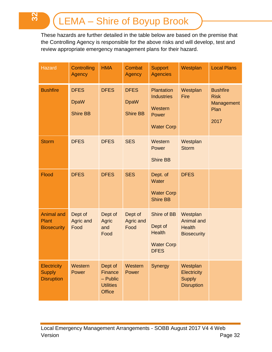**32**

These hazards are further detailed in the table below are based on the premise that the Controlling Agency is responsible for the above risks and will develop, test and review appropriate emergency management plans for their hazard.

| <b>Hazard</b>                                            | <b>Controlling</b><br>Agency                  | <b>HMA</b>                                                            | <b>Combat</b><br><b>Agency</b>                | <b>Support</b><br><b>Agencies</b>                                           | Westplan                                                             | <b>Local Plans</b>                                           |
|----------------------------------------------------------|-----------------------------------------------|-----------------------------------------------------------------------|-----------------------------------------------|-----------------------------------------------------------------------------|----------------------------------------------------------------------|--------------------------------------------------------------|
| <b>Bushfire</b>                                          | <b>DFES</b><br><b>DpaW</b><br><b>Shire BB</b> | <b>DFES</b>                                                           | <b>DFES</b><br><b>DpaW</b><br><b>Shire BB</b> | Plantation<br><b>Industries</b><br>Western<br>Power<br><b>Water Corp</b>    | Westplan<br>Fire                                                     | <b>Bushfire</b><br><b>Risk</b><br>Management<br>Plan<br>2017 |
| <b>Storm</b>                                             | <b>DFES</b>                                   | <b>DFES</b>                                                           | <b>SES</b>                                    | Western<br>Power<br><b>Shire BB</b>                                         | Westplan<br><b>Storm</b>                                             |                                                              |
| <b>Flood</b>                                             | <b>DFES</b>                                   | <b>DFES</b>                                                           | <b>SES</b>                                    | Dept. of<br>Water<br><b>Water Corp</b><br><b>Shire BB</b>                   | <b>DFES</b>                                                          |                                                              |
| <b>Animal and</b><br><b>Plant</b><br><b>Biosecurity</b>  | Dept of<br>Agric and<br>Food                  | Dept of<br><b>Agric</b><br>and<br>Food                                | Dept of<br>Agric and<br>Food                  | Shire of BB<br>Dept of<br><b>Health</b><br><b>Water Corp</b><br><b>DFES</b> | Westplan<br><b>Animal and</b><br><b>Health</b><br><b>Biosecurity</b> |                                                              |
| <b>Electricity</b><br><b>Supply</b><br><b>Disruption</b> | Western<br>Power                              | Dept of<br>Finance<br>$-$ Public<br><b>Utilities</b><br><b>Office</b> | Western<br>Power                              | Synergy                                                                     | Westplan<br>Electricity<br><b>Supply</b><br><b>Disruption</b>        |                                                              |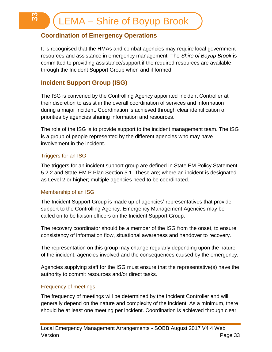## <span id="page-32-0"></span>**Coordination of Emergency Operations**

It is recognised that the HMAs and combat agencies may require local government resources and assistance in emergency management. The *Shire of Boyup Brook* is committed to providing assistance/support if the required resources are available through the Incident Support Group when and if formed.

## <span id="page-32-1"></span>**Incident Support Group (ISG)**

The ISG is convened by the Controlling Agency appointed Incident Controller at their discretion to assist in the overall coordination of services and information during a major incident. Coordination is achieved through clear identification of priorities by agencies sharing information and resources.

The role of the ISG is to provide support to the incident management team. The ISG is a group of people represented by the different agencies who may have involvement in the incident.

## <span id="page-32-2"></span>Triggers for an ISG

က<br>က

The triggers for an incident support group are defined in State EM Policy Statement 5.2.2 and State EM P Plan Section 5.1. These are; where an incident is designated as Level 2 or higher; multiple agencies need to be coordinated.

## <span id="page-32-3"></span>Membership of an ISG

The Incident Support Group is made up of agencies' representatives that provide support to the Controlling Agency. Emergency Management Agencies may be called on to be liaison officers on the Incident Support Group.

The recovery coordinator should be a member of the ISG from the onset, to ensure consistency of information flow, situational awareness and handover to recovery.

The representation on this group may change regularly depending upon the nature of the incident, agencies involved and the consequences caused by the emergency.

Agencies supplying staff for the ISG must ensure that the representative(s) have the authority to commit resources and/or direct tasks.

#### <span id="page-32-4"></span>Frequency of meetings

The frequency of meetings will be determined by the Incident Controller and will generally depend on the nature and complexity of the incident. As a minimum, there should be at least one meeting per incident. Coordination is achieved through clear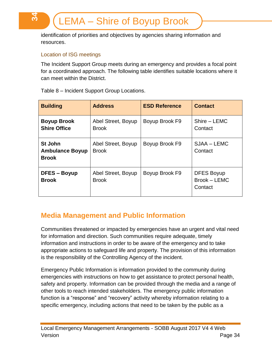identification of priorities and objectives by agencies sharing information and resources.

## <span id="page-33-0"></span>Location of ISG meetings

**34**

The Incident Support Group meets during an emergency and provides a focal point for a coordinated approach. The following table identifies suitable locations where it can meet within the District.

| <b>Building</b>                                   | <b>Address</b>                     | <b>ESD Reference</b> | <b>Contact</b>                               |
|---------------------------------------------------|------------------------------------|----------------------|----------------------------------------------|
| <b>Boyup Brook</b><br><b>Shire Office</b>         | Abel Street, Boyup<br><b>Brook</b> | Boyup Brook F9       | Shire - LEMC<br>Contact                      |
| St John<br><b>Ambulance Boyup</b><br><b>Brook</b> | Abel Street, Boyup<br><b>Brook</b> | Boyup Brook F9       | SJAA – LEMC<br>Contact                       |
| DFES – Boyup<br><b>Brook</b>                      | Abel Street, Boyup<br><b>Brook</b> | Boyup Brook F9       | <b>DFES Boyup</b><br>Brook - LEMC<br>Contact |

Table 8 – Incident Support Group Locations.

# <span id="page-33-1"></span>**Media Management and Public Information**

Communities threatened or impacted by emergencies have an urgent and vital need for information and direction. Such communities require adequate, timely information and instructions in order to be aware of the emergency and to take appropriate actions to safeguard life and property. The provision of this information is the responsibility of the Controlling Agency of the incident.

Emergency Public Information is information provided to the community during emergencies with instructions on how to get assistance to protect personal health, safety and property. Information can be provided through the media and a range of other tools to reach intended stakeholders. The emergency public information function is a "response" and "recovery" activity whereby information relating to a specific emergency, including actions that need to be taken by the public as a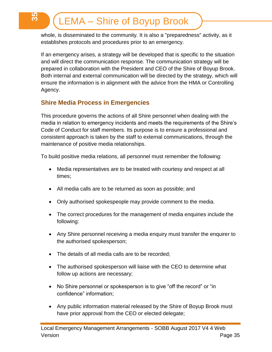whole, is disseminated to the community. It is also a "preparedness" activity, as it establishes protocols and procedures prior to an emergency.

If an emergency arises, a strategy will be developed that is specific to the situation and will direct the communication response. The communication strategy will be prepared in collaboration with the President and CEO of the Shire of Boyup Brook. Both internal and external communication will be directed by the strategy, which will ensure the information is in alignment with the advice from the HMA or Controlling Agency.

## <span id="page-34-0"></span>**Shire Media Process in Emergencies**

**35**

This procedure governs the actions of all Shire personnel when dealing with the media in relation to emergency incidents and meets the requirements of the Shire's Code of Conduct for staff members. Its purpose is to ensure a professional and consistent approach is taken by the staff to external communications, through the maintenance of positive media relationships.

To build positive media relations, all personnel must remember the following:

- Media representatives are to be treated with courtesy and respect at all times;
- All media calls are to be returned as soon as possible; and
- Only authorised spokespeople may provide comment to the media.
- The correct procedures for the management of media enquiries include the following:
- Any Shire personnel receiving a media enquiry must transfer the enquirer to the authorised spokesperson;
- The details of all media calls are to be recorded;
- The authorised spokesperson will liaise with the CEO to determine what follow up actions are necessary;
- No Shire personnel or spokesperson is to give "off the record" or "in confidence" information;
- Any public information material released by the Shire of Boyup Brook must have prior approval from the CEO or elected delegate;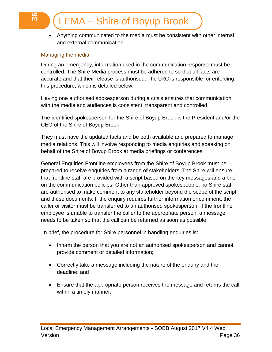Anything communicated to the media must be consistent with other internal and external communication.

#### <span id="page-35-0"></span>Managing the media

**36**

During an emergency, information used in the communication response must be controlled. The Shire Media process must be adhered to so that all facts are accurate and that their release is authorised. The LRC is responsible for enforcing this procedure, which is detailed below:

Having one authorised spokesperson during a crisis ensures that communication with the media and audiences is consistent, transparent and controlled.

The identified spokesperson for the Shire of Boyup Brook is the President and/or the CEO of the Shire of Boyup Brook.

They must have the updated facts and be both available and prepared to manage media relations. This will involve responding to media enquiries and speaking on behalf of the Shire of Boyup Brook at media briefings or conferences.

General Enquiries Frontline employees from the Shire of Boyup Brook must be prepared to receive enquiries from a range of stakeholders. The Shire will ensure that frontline staff are provided with a script based on the key messages and a brief on the communication policies. Other than approved spokespeople, no Shire staff are authorised to make comment to any stakeholder beyond the scope of the script and these documents. If the enquiry requires further information or comment, the caller or visitor must be transferred to an authorised spokesperson. If the frontline employee is unable to transfer the caller to the appropriate person, a message needs to be taken so that the call can be returned as soon as possible.

In brief, the procedure for Shire personnel in handling enquiries is:

- Inform the person that you are not an authorised spokesperson and cannot provide comment or detailed information;
- Correctly take a message including the nature of the enquiry and the deadline; and
- Ensure that the appropriate person receives the message and returns the call within a timely manner.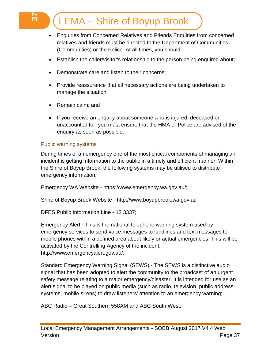- Enquiries from Concerned Relatives and Friends Enquiries from concerned relatives and friends must be directed to the Department of Communities (Communities) or the Police. At all times, you should:
- Establish the caller/visitor's relationship to the person being enquired about;
- Demonstrate care and listen to their concerns;
- Provide reassurance that all necessary actions are being undertaken to manage the situation;
- Remain calm; and

**37**

• If you receive an enquiry about someone who is injured, deceased or unaccounted for, you must ensure that the HMA or Police are advised of the enquiry as soon as possible.

#### <span id="page-36-0"></span>Public warning systems

During times of an emergency one of the most critical components of managing an incident is getting information to the public in a timely and efficient manner. Within the Shire of Boyup Brook, the following systems may be utilised to distribute emergency information;

Emergency WA Website - https://www.emergency.wa.gov.au/;

Shire of Boyup Brook Website - http://www.boyupbrook.wa.gov.au

DFES Public Information Line - 13 3337;

Emergency Alert - This is the national telephone warning system used by emergency services to send voice messages to landlines and text messages to mobile phones within a defined area about likely or actual emergencies. This will be activated by the Controlling Agency of the incident. http://www.emergencyalert.gov.au/;

Standard Emergency Warning Signal (SEWS) - The SEWS is a distinctive audio signal that has been adopted to alert the community to the broadcast of an urgent safety message relating to a major emergency/disaster. It is intended for use as an alert signal to be played on public media (such as radio, television, public address systems, mobile sirens) to draw listeners' attention to an emergency warning;

ABC Radio – Great Southern 558AM and ABC South West;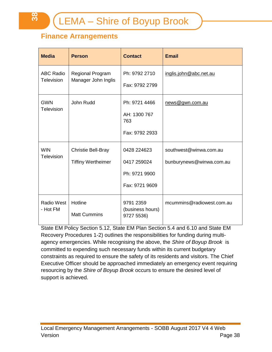# <span id="page-37-0"></span>**Finance Arrangements**

| <b>Media</b>                   | <b>Person</b>                                          | <b>Contact</b>                                                | <b>Email</b>                                       |
|--------------------------------|--------------------------------------------------------|---------------------------------------------------------------|----------------------------------------------------|
| <b>ABC Radio</b><br>Television | <b>Regional Program</b><br>Manager John Inglis         | Ph: 9792 2710<br>Fax: 9792 2799                               | inglis.john@abc.net.au                             |
| <b>GWN</b><br>Television       | John Rudd                                              | Ph: 9721 4466<br>AH: 1300 767<br>763<br>Fax: 9792 2933        | news@gwn.com.au                                    |
| <b>WIN</b><br>Television       | <b>Christie Bell-Bray</b><br><b>Tiffiny Wertheimer</b> | 0428 224623<br>0417 259024<br>Ph: 9721 9900<br>Fax: 9721 9609 | southwest@winwa.com.au<br>bunburynews@winwa.com.au |
| <b>Radio West</b><br>- Hot FM  | Hotline<br><b>Matt Cummins</b>                         | 9791 2359<br>(business hours)<br>9727 5536)                   | mcummins@radiowest.com.au                          |

State EM Policy Section 5.12, State EM Plan Section 5.4 and 6.10 and State EM Recovery Procedures 1-2) outlines the responsibilities for funding during multiagency emergencies. While recognising the above, the *Shire of Boyup Brook* is committed to expending such necessary funds within its current budgetary constraints as required to ensure the safety of its residents and visitors. The Chief Executive Officer should be approached immediately an emergency event requiring resourcing by the *Shire of Boyup Brook* occurs to ensure the desired level of support is achieved.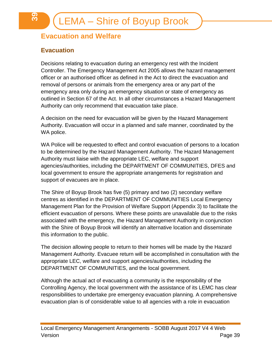# <span id="page-38-0"></span>**Evacuation and Welfare**

## <span id="page-38-1"></span>**Evacuation**

**39**

Decisions relating to evacuation during an emergency rest with the Incident Controller. The Emergency Management Act 2005 allows the hazard management officer or an authorised officer as defined in the Act to direct the evacuation and removal of persons or animals from the emergency area or any part of the emergency area only during an emergency situation or state of emergency as outlined in Section 67 of the Act. In all other circumstances a Hazard Management Authority can only recommend that evacuation take place.

A decision on the need for evacuation will be given by the Hazard Management Authority. Evacuation will occur in a planned and safe manner, coordinated by the WA police.

WA Police will be requested to effect and control evacuation of persons to a location to be determined by the Hazard Management Authority. The Hazard Management Authority must liaise with the appropriate LEC, welfare and support agencies/authorities, including the DEPARTMENT OF COMMUNITIES, DFES and local government to ensure the appropriate arrangements for registration and support of evacuees are in place.

The Shire of Boyup Brook has five (5) primary and two (2) secondary welfare centres as identified in the DEPARTMENT OF COMMUNITIES Local Emergency Management Plan for the Provision of Welfare Support (Appendix 3) to facilitate the efficient evacuation of persons. Where these points are unavailable due to the risks associated with the emergency, the Hazard Management Authority in conjunction with the Shire of Boyup Brook will identify an alternative location and disseminate this information to the public.

The decision allowing people to return to their homes will be made by the Hazard Management Authority. Evacuee return will be accomplished in consultation with the appropriate LEC, welfare and support agencies/authorities, including the DEPARTMENT OF COMMUNITIES, and the local government.

Although the actual act of evacuating a community is the responsibility of the Controlling Agency, the local government with the assistance of its LEMC has clear responsibilities to undertake pre emergency evacuation planning. A comprehensive evacuation plan is of considerable value to all agencies with a role in evacuation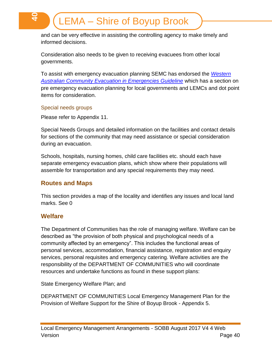and can be very effective in assisting the controlling agency to make timely and informed decisions.

Consideration also needs to be given to receiving evacuees from other local governments.

To assist with emergency evacuation planning SEMC has endorsed the *[Western](http://www.semc.wa.gov.au/Publications%20and%20Resources/Western%20Australia%20Community%20Evacuation%20in%20Emergencies%20Guide.pdf)  [Australian Community Evacuation in Emergencies Guideline](http://www.semc.wa.gov.au/Publications%20and%20Resources/Western%20Australia%20Community%20Evacuation%20in%20Emergencies%20Guide.pdf)* which has a section on pre emergency evacuation planning for local governments and LEMCs and dot point items for consideration.

#### <span id="page-39-0"></span>Special needs groups

**40**

Please refer to Appendix 11.

Special Needs Groups and detailed information on the facilities and contact details for sections of the community that may need assistance or special consideration during an evacuation.

Schools, hospitals, nursing homes, child care facilities etc. should each have separate emergency evacuation plans, which show where their populations will assemble for transportation and any special requirements they may need.

## <span id="page-39-1"></span>**Routes and Maps**

This section provides a map of the locality and identifies any issues and local land marks. See [0](#page-56-0)

## <span id="page-39-2"></span>**Welfare**

The Department of Communities has the role of managing welfare. Welfare can be described as "the provision of both physical and psychological needs of a community affected by an emergency". This includes the functional areas of personal services, accommodation, financial assistance, registration and enquiry services, personal requisites and emergency catering. Welfare activities are the responsibility of the DEPARTMENT OF COMMUNITIES who will coordinate resources and undertake functions as found in these support plans:

State Emergency Welfare Plan; and

DEPARTMENT OF COMMUNITIES Local Emergency Management Plan for the Provision of Welfare Support for the Shire of Boyup Brook - Appendix 5.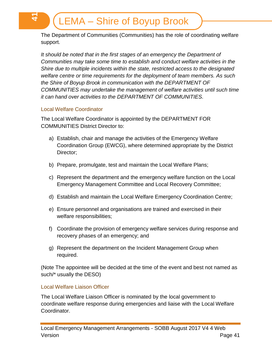The Department of Communities (Communities) has the role of coordinating welfare support.

*It should be noted that in the first stages of an emergency the Department of Communities may take some time to establish and conduct welfare activities in the Shire due to multiple incidents within the state, restricted access to the designated welfare centre or time requirements for the deployment of team members. As such the Shire of Boyup Brook in communication with the DEPARTMENT OF COMMUNITIES may undertake the management of welfare activities until such time it can hand over activities to the DEPARTMENT OF COMMUNITIES.*

#### <span id="page-40-0"></span>Local Welfare Coordinator

**41**

The Local Welfare Coordinator is appointed by the DEPARTMENT FOR COMMUNITIES District Director to:

- a) Establish, chair and manage the activities of the Emergency Welfare Coordination Group (EWCG), where determined appropriate by the District Director;
- b) Prepare, promulgate, test and maintain the Local Welfare Plans;
- c) Represent the department and the emergency welfare function on the Local Emergency Management Committee and Local Recovery Committee;
- d) Establish and maintain the Local Welfare Emergency Coordination Centre;
- e) Ensure personnel and organisations are trained and exercised in their welfare responsibilities;
- f) Coordinate the provision of emergency welfare services during response and recovery phases of an emergency; and
- g) Represent the department on the Incident Management Group when required.

(Note The appointee will be decided at the time of the event and best not named as such/\* usually the DESO)

## <span id="page-40-1"></span>Local Welfare Liaison Officer

The Local Welfare Liaison Officer is nominated by the local government to coordinate welfare response during emergencies and liaise with the Local Welfare Coordinator.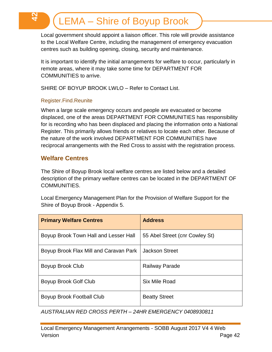Local government should appoint a liaison officer. This role will provide assistance to the Local Welfare Centre, including the management of emergency evacuation centres such as building opening, closing, security and maintenance.

It is important to identify the initial arrangements for welfare to occur, particularly in remote areas, where it may take some time for DEPARTMENT FOR COMMUNITIES to arrive.

SHIRE OF BOYUP BROOK LWLO – Refer to Contact List.

## <span id="page-41-0"></span>Register.Find.Reunite

**42**

When a large scale emergency occurs and people are evacuated or become displaced, one of the areas DEPARTMENT FOR COMMUNITIES has responsibility for is recording who has been displaced and placing the information onto a National Register. This primarily allows friends or relatives to locate each other. Because of the nature of the work involved DEPARTMENT FOR COMMUNITIES have reciprocal arrangements with the Red Cross to assist with the registration process.

## <span id="page-41-1"></span>**Welfare Centres**

The Shire of Boyup Brook local welfare centres are listed below and a detailed description of the primary welfare centres can be located in the DEPARTMENT OF COMMUNITIES.

Local Emergency Management Plan for the Provision of Welfare Support for the Shire of Boyup Brook - Appendix 5.

| <b>Primary Welfare Centres</b>         | <b>Address</b>                 |
|----------------------------------------|--------------------------------|
| Boyup Brook Town Hall and Lesser Hall  | 55 Abel Street (cnr Cowley St) |
| Boyup Brook Flax Mill and Caravan Park | <b>Jackson Street</b>          |
| Boyup Brook Club                       | <b>Railway Parade</b>          |
| Boyup Brook Golf Club                  | Six Mile Road                  |
| Boyup Brook Football Club              | <b>Beatty Street</b>           |

*AUSTRALIAN RED CROSS PERTH – 24HR EMERGENCY 0408930811*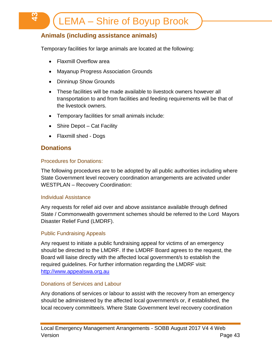## <span id="page-42-0"></span>**Animals (including assistance animals)**

Temporary facilities for large animals are located at the following:

- Flaxmill Overflow area
- Mayanup Progress Association Grounds
- Dinninup Show Grounds
- These facilities will be made available to livestock owners however all transportation to and from facilities and feeding requirements will be that of the livestock owners.
- Temporary facilities for small animals include:
- Shire Depot Cat Facility
- Flaxmill shed Dogs

## <span id="page-42-1"></span>**Donations**

က္<br><del>ပ</del>

#### <span id="page-42-2"></span>Procedures for Donations:

The following procedures are to be adopted by all public authorities including where State Government level recovery coordination arrangements are activated under WESTPLAN – Recovery Coordination:

#### <span id="page-42-3"></span>Individual Assistance

Any requests for relief aid over and above assistance available through defined State / Commonwealth government schemes should be referred to the Lord Mayors Disaster Relief Fund (LMDRF).

#### <span id="page-42-4"></span>Public Fundraising Appeals

Any request to initiate a public fundraising appeal for victims of an emergency should be directed to the LMDRF. If the LMDRF Board agrees to the request, the Board will liaise directly with the affected local government/s to establish the required guidelines. For further information regarding the LMDRF visit: [http://www.appealswa.org.au](http://www.appealswa.org.au/)

#### <span id="page-42-5"></span>Donations of Services and Labour

Any donations of services or labour to assist with the recovery from an emergency should be administered by the affected local government/s or, if established, the local recovery committee/s. Where State Government level recovery coordination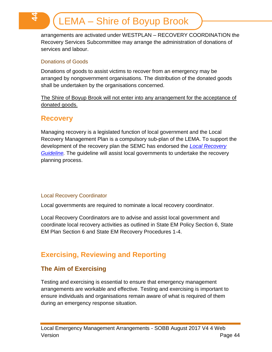arrangements are activated under WESTPLAN – RECOVERY COORDINATION the Recovery Services Subcommittee may arrange the administration of donations of services and labour.

#### <span id="page-43-0"></span>Donations of Goods

**44**

Donations of goods to assist victims to recover from an emergency may be arranged by nongovernment organisations. The distribution of the donated goods shall be undertaken by the organisations concerned.

The Shire of Boyup Brook will not enter into any arrangement for the acceptance of donated goods.

## <span id="page-43-1"></span>**Recovery**

Managing recovery is a legislated function of local government and the Local Recovery Management Plan is a compulsory sub-plan of the LEMA. To support the development of the recovery plan the SEMC has endorsed the *[Local Recovery](http://www.semc.wa.gov.au/Publications%20and%20Resources/Local%20Recovery%20Guidelines%20v4.pdf)  [Guideline.](http://www.semc.wa.gov.au/Publications%20and%20Resources/Local%20Recovery%20Guidelines%20v4.pdf)* The guideline will assist local governments to undertake the recovery planning process.

## <span id="page-43-2"></span>Local Recovery Coordinator

Local governments are required to nominate a local recovery coordinator.

Local Recovery Coordinators are to advise and assist local government and coordinate local recovery activities as outlined in State EM Policy Section 6, State EM Plan Section 6 and State EM Recovery Procedures 1-4.

# <span id="page-43-3"></span>**Exercising, Reviewing and Reporting**

## <span id="page-43-4"></span>**The Aim of Exercising**

Testing and exercising is essential to ensure that emergency management arrangements are workable and effective. Testing and exercising is important to ensure individuals and organisations remain aware of what is required of them during an emergency response situation.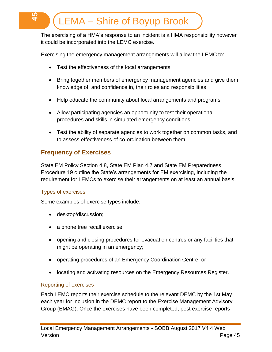The exercising of a HMA's response to an incident is a HMA responsibility however it could be incorporated into the LEMC exercise.

Exercising the emergency management arrangements will allow the LEMC to:

- Test the effectiveness of the local arrangements
- Bring together members of emergency management agencies and give them knowledge of, and confidence in, their roles and responsibilities
- Help educate the community about local arrangements and programs
- Allow participating agencies an opportunity to test their operational procedures and skills in simulated emergency conditions
- Test the ability of separate agencies to work together on common tasks, and to assess effectiveness of co-ordination between them.

## <span id="page-44-0"></span>**Frequency of Exercises**

State EM Policy Section 4.8, State EM Plan 4.7 and State EM Preparedness Procedure 19 outline the State's arrangements for EM exercising, including the requirement for LEMCs to exercise their arrangements on at least an annual basis.

## <span id="page-44-1"></span>Types of exercises

**45**

Some examples of exercise types include:

- desktop/discussion;
- a phone tree recall exercise;
- opening and closing procedures for evacuation centres or any facilities that might be operating in an emergency;
- operating procedures of an Emergency Coordination Centre; or
- locating and activating resources on the Emergency Resources Register.

#### <span id="page-44-2"></span>Reporting of exercises

Each LEMC reports their exercise schedule to the relevant DEMC by the 1st May each year for inclusion in the DEMC report to the Exercise Management Advisory Group (EMAG). Once the exercises have been completed, post exercise reports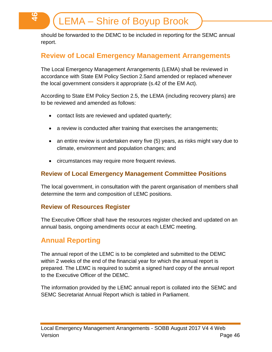should be forwarded to the DEMC to be included in reporting for the SEMC annual report.

# <span id="page-45-0"></span>**Review of Local Emergency Management Arrangements**

The Local Emergency Management Arrangements (LEMA) shall be reviewed in accordance with State EM Policy Section 2.5and amended or replaced whenever the local government considers it appropriate (s.42 of the EM Act).

According to State EM Policy Section 2.5, the LEMA (including recovery plans) are to be reviewed and amended as follows:

- contact lists are reviewed and updated quarterly;
- a review is conducted after training that exercises the arrangements;
- an entire review is undertaken every five (5) years, as risks might vary due to climate, environment and population changes; and
- circumstances may require more frequent reviews.

## <span id="page-45-1"></span>**Review of Local Emergency Management Committee Positions**

The local government, in consultation with the parent organisation of members shall determine the term and composition of LEMC positions.

## <span id="page-45-2"></span>**Review of Resources Register**

The Executive Officer shall have the resources register checked and updated on an annual basis, ongoing amendments occur at each LEMC meeting.

## <span id="page-45-3"></span>**Annual Reporting**

**46**

The annual report of the LEMC is to be completed and submitted to the DEMC within 2 weeks of the end of the financial year for which the annual report is prepared. The LEMC is required to submit a signed hard copy of the annual report to the Executive Officer of the DEMC.

The information provided by the LEMC annual report is collated into the SEMC and SEMC Secretariat Annual Report which is tabled in Parliament.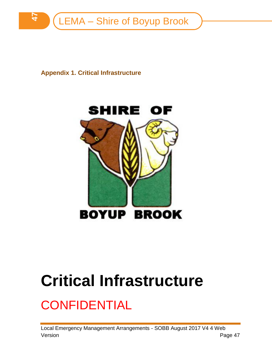

<span id="page-46-0"></span>**Appendix 1. Critical Infrastructure**



# **Critical Infrastructure**

# **CONFIDENTIAL**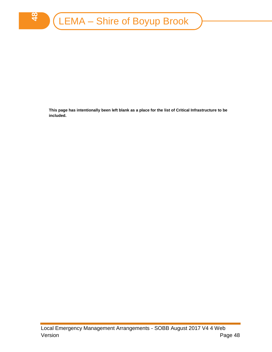**48**

**This page has intentionally been left blank as a place for the list of Critical Infrastructure to be included.**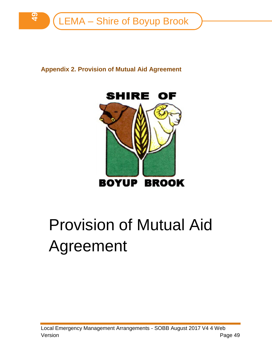

<span id="page-48-0"></span>**Appendix 2. Provision of Mutual Aid Agreement**



# Provision of Mutual Aid Agreement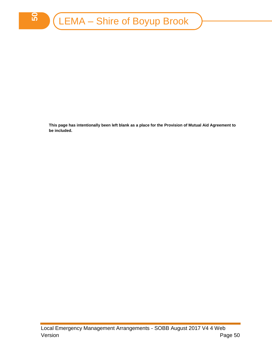**This page has intentionally been left blank as a place for the Provision of Mutual Aid Agreement to be included.**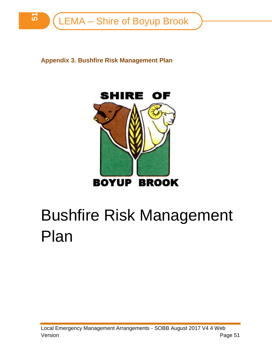<span id="page-50-0"></span>**Appendix 3. Bushfire Risk Management Plan**



# Bushfire Risk Management Plan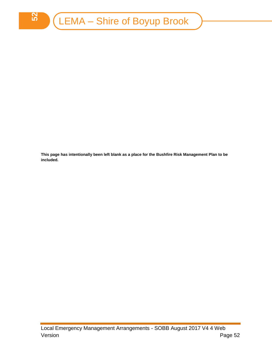**This page has intentionally been left blank as a place for the Bushfire Risk Management Plan to be included.**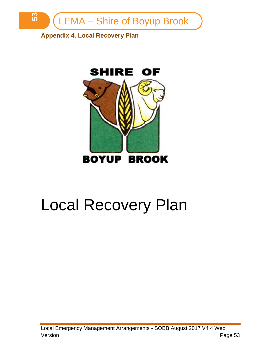

<span id="page-52-0"></span>**Appendix 4. Local Recovery Plan**



# Local Recovery Plan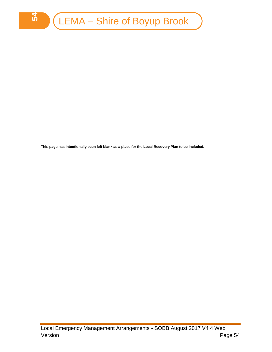

**This page has intentionally been left blank as a place for the Local Recovery Plan to be included.**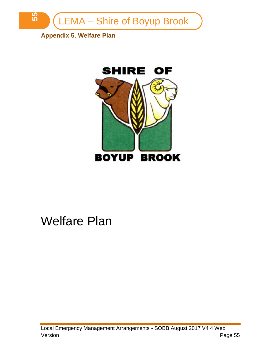

<span id="page-54-0"></span>**Appendix 5. Welfare Plan**



# Welfare Plan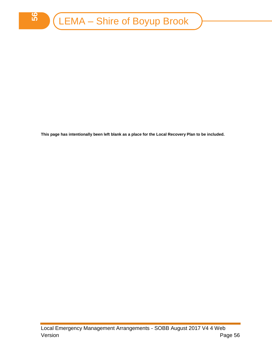**This page has intentionally been left blank as a place for the Local Recovery Plan to be included.**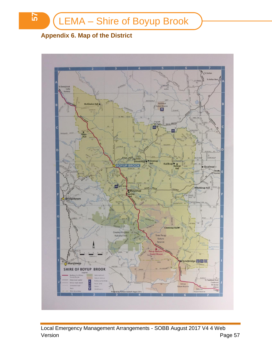# <span id="page-56-0"></span>**Appendix 6. Map of the District**

**57**

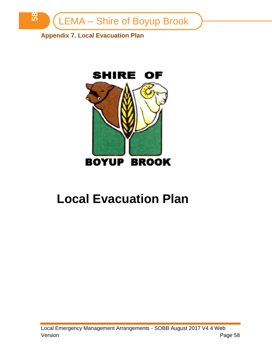

<span id="page-57-0"></span>**Appendix 7. Local Evacuation Plan**



# **Local Evacuation Plan**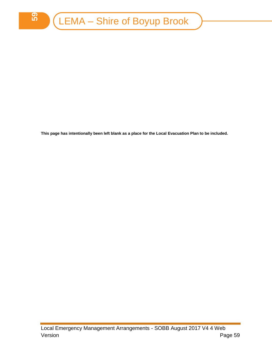**This page has intentionally been left blank as a place for the Local Evacuation Plan to be included.**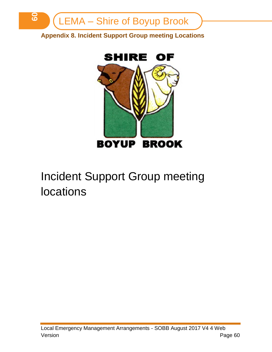

<span id="page-59-0"></span>**Appendix 8. Incident Support Group meeting Locations**



# Incident Support Group meeting locations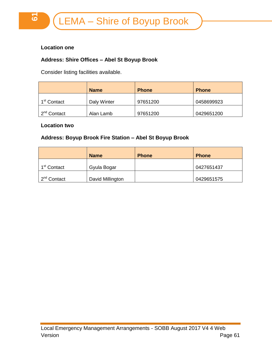#### **Location one**

#### **Address: Shire Offices – Abel St Boyup Brook**

Consider listing facilities available.

|                         | <b>Name</b> | <b>Phone</b> | <b>Phone</b> |
|-------------------------|-------------|--------------|--------------|
| 1 <sup>st</sup> Contact | Daly Winter | 97651200     | 0458699923   |
| 2 <sup>nd</sup> Contact | Alan Lamb   | 97651200     | 0429651200   |

#### **Location two**

#### **Address: Boyup Brook Fire Station – Abel St Boyup Brook**

|                         | <b>Name</b>      | <b>Phone</b> | <b>Phone</b> |
|-------------------------|------------------|--------------|--------------|
| 1 <sup>st</sup> Contact | Gyula Bogar      |              | 0427651437   |
| 2 <sup>nd</sup> Contact | David Millington |              | 0429651575   |

<u>نہ</u>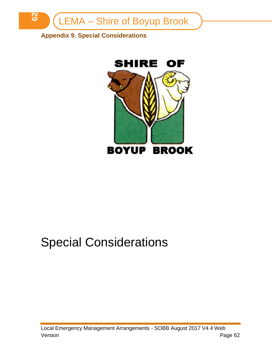

# <span id="page-61-0"></span>**Appendix 9. Special Considerations**



# Special Considerations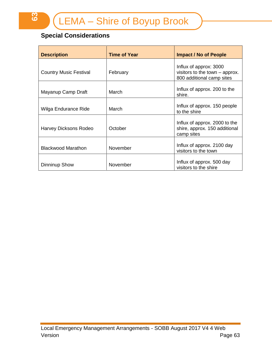# **Special Considerations**

**63**

| <b>Description</b>            | <b>Time of Year</b> | <b>Impact / No of People</b>                                                          |
|-------------------------------|---------------------|---------------------------------------------------------------------------------------|
| <b>Country Music Festival</b> | February            | Influx of approx: 3000<br>visitors to the town – approx.<br>800 additional camp sites |
| Mayanup Camp Draft            | March               | Influx of approx. 200 to the<br>shire.                                                |
| Wilga Endurance Ride          | March               | Influx of approx. 150 people<br>to the shire                                          |
| Harvey Dicksons Rodeo         | October             | Influx of approx. 2000 to the<br>shire, approx. 150 additional<br>camp sites          |
| <b>Blackwood Marathon</b>     | November            | Influx of approx. 2100 day<br>visitors to the town                                    |
| Dinninup Show                 | November            | Influx of approx. 500 day<br>visitors to the shire                                    |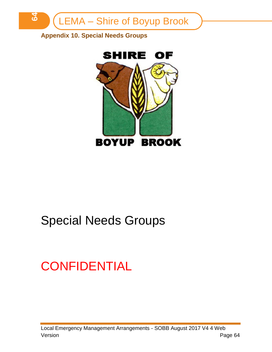

<span id="page-63-0"></span>**Appendix 10. Special Needs Groups**



# Special Needs Groups

# **CONFIDENTIAL**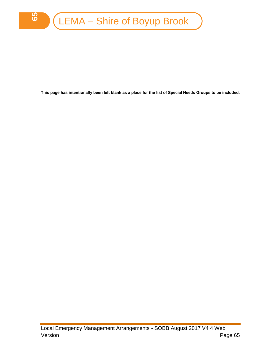**This page has intentionally been left blank as a place for the list of Special Needs Groups to be included.**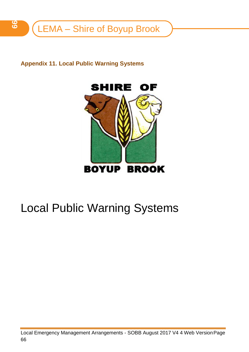<span id="page-65-0"></span>

**Appendix 11. Local Public Warning Systems**



# Local Public Warning Systems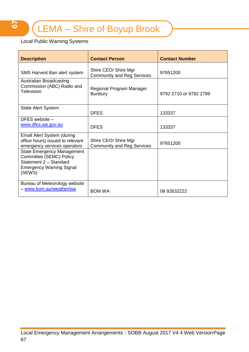## Local Public Warning Systems

| <b>Description</b>                                                                                                                  | <b>Contact Person</b>                                     | <b>Contact Number</b>  |
|-------------------------------------------------------------------------------------------------------------------------------------|-----------------------------------------------------------|------------------------|
| SMS Harvest Ban alert system                                                                                                        | Shire CEO/ Shire Mgr<br><b>Community and Reg Services</b> | 97651200               |
| Australian Broadcasting<br>Commission (ABC) Radio and<br>Television                                                                 | Regional Program Manager<br><b>Bunbury</b>                | 9792 2710 or 9792 2799 |
| <b>State Alert System</b>                                                                                                           | <b>DFES</b>                                               | 133337                 |
| DFES website $-$<br>www.dfes.wa.gov.au                                                                                              | <b>DFES</b>                                               | 133337                 |
| Email Alert System (during<br>office hours) issued to relevant<br>emergency services operators                                      | Shire CEO/ Shire Mgr<br><b>Community and Reg Services</b> | 97651200               |
| <b>State Emergency Management</b><br>Committee (SEMC) Policy<br>Statement 2 - Standard<br><b>Emergency Warning Signal</b><br>(SEWS) |                                                           |                        |
| Bureau of Meteorology website<br>- www.bom.au/weather/wa                                                                            | <b>BOM WA</b>                                             | 08 92632222            |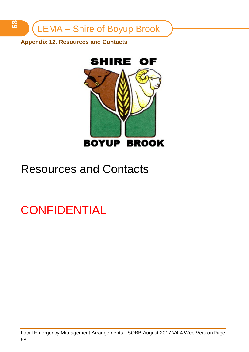<span id="page-67-0"></span>**Appendix 12. Resources and Contacts**



# Resources and Contacts

**CONFIDENTIAL**